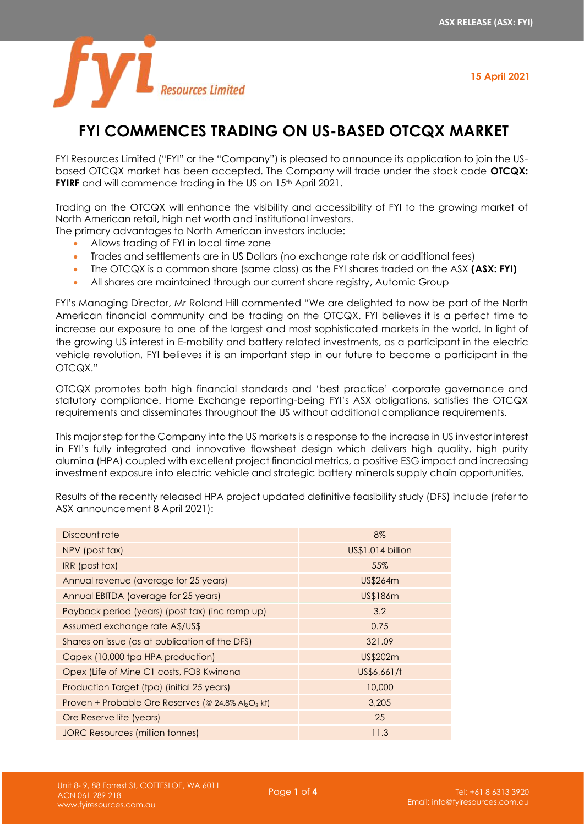**15 April 2021**



# **FYI COMMENCES TRADING ON US-BASED OTCQX MARKET**

FYI Resources Limited ("FYI" or the "Company") is pleased to announce its application to join the USbased OTCQX market has been accepted. The Company will trade under the stock code **OTCQX: FYIRF** and will commence trading in the US on 15th April 2021.

Trading on the OTCQX will enhance the visibility and accessibility of FYI to the growing market of North American retail, high net worth and institutional investors.

The primary advantages to North American investors include:

- Allows trading of FYI in local time zone
- Trades and settlements are in US Dollars (no exchange rate risk or additional fees)
- The OTCQX is a common share (same class) as the FYI shares traded on the ASX **(ASX: FYI)**
- All shares are maintained through our current share registry, Automic Group

FYI's Managing Director, Mr Roland Hill commented "We are delighted to now be part of the North American financial community and be trading on the OTCQX. FYI believes it is a perfect time to increase our exposure to one of the largest and most sophisticated markets in the world. In light of the growing US interest in E-mobility and battery related investments, as a participant in the electric vehicle revolution, FYI believes it is an important step in our future to become a participant in the OTCQX."

OTCQX promotes both high financial standards and 'best practice' corporate governance and statutory compliance. Home Exchange reporting-being FYI's ASX obligations, satisfies the OTCQX requirements and disseminates throughout the US without additional compliance requirements.

This major step for the Company into the US markets is a response to the increase in US investor interest in FYI's fully integrated and innovative flowsheet design which delivers high quality, high purity alumina (HPA) coupled with excellent project financial metrics, a positive ESG impact and increasing investment exposure into electric vehicle and strategic battery minerals supply chain opportunities.

Results of the recently released HPA project updated definitive feasibility study (DFS) include (refer to ASX announcement 8 April 2021):

| Discount rate                                                              | 8%                |
|----------------------------------------------------------------------------|-------------------|
| NPV (post tax)                                                             | US\$1.014 billion |
| IRR (post tax)                                                             | 55%               |
| Annual revenue (average for 25 years)                                      | US\$264m          |
| Annual EBITDA (average for 25 years)                                       | US\$186m          |
| Payback period (years) (post tax) (inc ramp up)                            | 3.2               |
| Assumed exchange rate A\$/US\$                                             | 0.75              |
| Shares on issue (as at publication of the DFS)                             | 321.09            |
| Capex (10,000 tpa HPA production)                                          | US\$202m          |
| Opex (Life of Mine C1 costs, FOB Kwinana                                   | US\$6,661/t       |
| Production Target (tpa) (initial 25 years)                                 | 10,000            |
| Proven + Probable Ore Reserves (@ 24.8% Al <sub>2</sub> O <sub>3</sub> kt) | 3,205             |
| Ore Reserve life (years)                                                   | 25                |
| JORC Resources (million tonnes)                                            | 11.3              |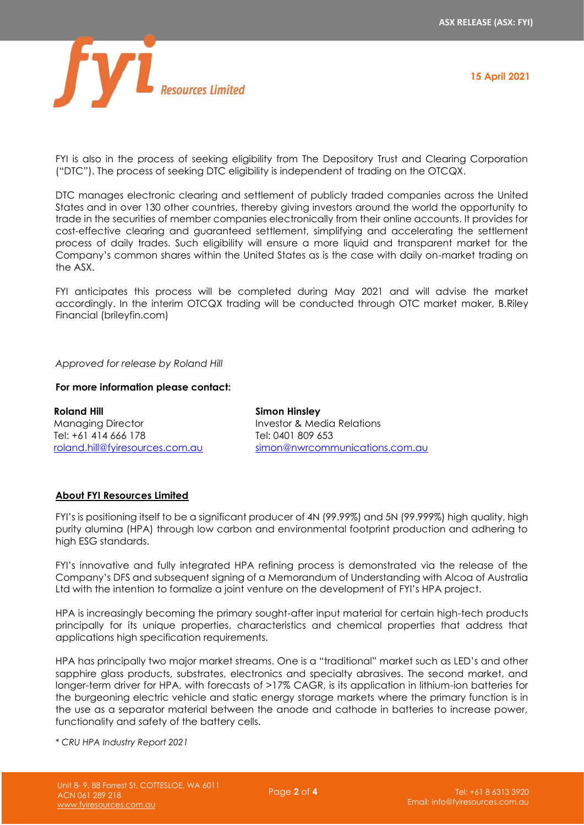

**15 April 2021**

FYI is also in the process of seeking eligibility from The Depository Trust and Clearing Corporation ("DTC"). The process of seeking DTC eligibility is independent of trading on the OTCQX.

DTC manages electronic clearing and settlement of publicly traded companies across the United States and in over 130 other countries, thereby giving investors around the world the opportunity to trade in the securities of member companies electronically from their online accounts. It provides for cost-effective clearing and guaranteed settlement, simplifying and accelerating the settlement process of daily trades. Such eligibility will ensure a more liquid and transparent market for the Company's common shares within the United States as is the case with daily on-market trading on the ASX.

FYI anticipates this process will be completed during May 2021 and will advise the market accordingly. In the interim OTCQX trading will be conducted through OTC market maker, B.Riley Financial (brileyfin.com)

# *Approved for release by Roland Hill*

# **For more information please contact:**

**Roland Hill** Managing Director Tel: +61 414 666 178 [roland.hill@fyiresources.com.au](mailto:roland.hill@fyiresources.com.au) **Simon Hinsley** Investor & Media Relations Tel: 0401 809 653 [simon@nwrcommunications.com.au](mailto:simon@nwrcommunications.com.au)

# **About FYI Resources Limited**

FYI's is positioning itself to be a significant producer of 4N (99.99%) and 5N (99.999%) high quality, high purity alumina (HPA) through low carbon and environmental footprint production and adhering to high ESG standards.

FYI's innovative and fully integrated HPA refining process is demonstrated via the release of the Company's DFS and subsequent signing of a Memorandum of Understanding with Alcoa of Australia Ltd with the intention to formalize a joint venture on the development of FYI's HPA project.

HPA is increasingly becoming the primary sought-after input material for certain high-tech products principally for its unique properties, characteristics and chemical properties that address that applications high specification requirements.

HPA has principally two major market streams. One is a "traditional" market such as LED's and other sapphire glass products, substrates, electronics and specialty abrasives. The second market, and longer-term driver for HPA, with forecasts of >17% CAGR, is its application in lithium-ion batteries for the burgeoning electric vehicle and static energy storage markets where the primary function is in the use as a separator material between the anode and cathode in batteries to increase power, functionality and safety of the battery cells.

*\* CRU HPA Industry Report 2021*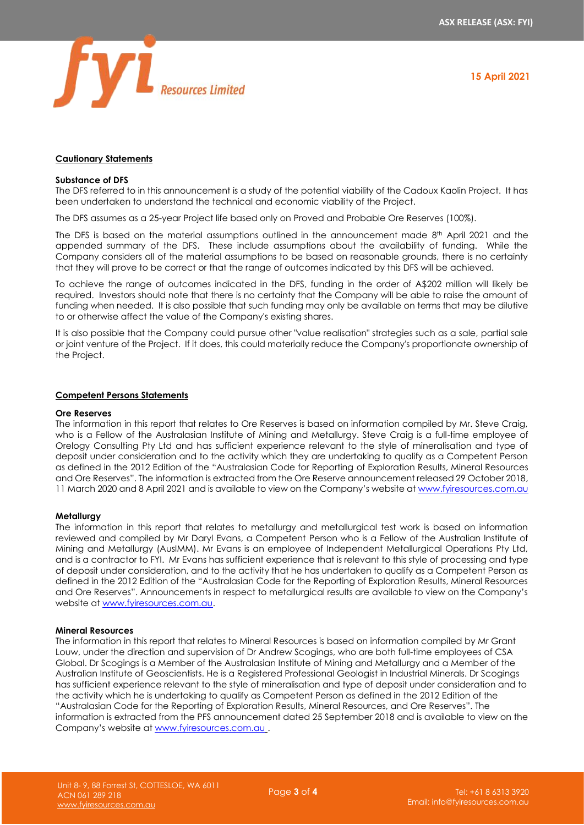



# **Cautionary Statements**

## **Substance of DFS**

The DFS referred to in this announcement is a study of the potential viability of the Cadoux Kaolin Project. It has been undertaken to understand the technical and economic viability of the Project.

The DFS assumes as a 25-year Project life based only on Proved and Probable Ore Reserves (100%).

The DFS is based on the material assumptions outlined in the announcement made 8<sup>th</sup> April 2021 and the appended summary of the DFS. These include assumptions about the availability of funding. While the Company considers all of the material assumptions to be based on reasonable grounds, there is no certainty that they will prove to be correct or that the range of outcomes indicated by this DFS will be achieved.

To achieve the range of outcomes indicated in the DFS, funding in the order of A\$202 million will likely be required. Investors should note that there is no certainty that the Company will be able to raise the amount of funding when needed. It is also possible that such funding may only be available on terms that may be dilutive to or otherwise affect the value of the Company's existing shares.

It is also possible that the Company could pursue other "value realisation" strategies such as a sale, partial sale or joint venture of the Project. If it does, this could materially reduce the Company's proportionate ownership of the Project.

## **Competent Persons Statements**

## **Ore Reserves**

The information in this report that relates to Ore Reserves is based on information compiled by Mr. Steve Craig, who is a Fellow of the Australasian Institute of Mining and Metallurgy. Steve Craig is a full-time employee of Orelogy Consulting Pty Ltd and has sufficient experience relevant to the style of mineralisation and type of deposit under consideration and to the activity which they are undertaking to qualify as a Competent Person as defined in the 2012 Edition of the "Australasian Code for Reporting of Exploration Results, Mineral Resources and Ore Reserves". The information is extracted from the Ore Reserve announcement released 29 October 2018, 11 March 2020 and 8 April 2021 and is available to view on the Company's website a[t www.fyiresources.com.au](http://www.fyiresources.com.au/)

## **Metallurgy**

The information in this report that relates to metallurgy and metallurgical test work is based on information reviewed and compiled by Mr Daryl Evans, a Competent Person who is a Fellow of the Australian Institute of Mining and Metallurgy (AusIMM). Mr Evans is an employee of Independent Metallurgical Operations Pty Ltd, and is a contractor to FYI. Mr Evans has sufficient experience that is relevant to this style of processing and type of deposit under consideration, and to the activity that he has undertaken to qualify as a Competent Person as defined in the 2012 Edition of the "Australasian Code for the Reporting of Exploration Results, Mineral Resources and Ore Reserves". Announcements in respect to metallurgical results are available to view on the Company's website a[t www.fyiresources.com.au.](http://www.fyiresources.com.au/)

## **Mineral Resources**

The information in this report that relates to Mineral Resources is based on information compiled by Mr Grant Louw, under the direction and supervision of Dr Andrew Scogings, who are both full-time employees of CSA Global. Dr Scogings is a Member of the Australasian Institute of Mining and Metallurgy and a Member of the Australian Institute of Geoscientists. He is a Registered Professional Geologist in Industrial Minerals. Dr Scogings has sufficient experience relevant to the style of mineralisation and type of deposit under consideration and to the activity which he is undertaking to qualify as Competent Person as defined in the 2012 Edition of the "Australasian Code for the Reporting of Exploration Results, Mineral Resources, and Ore Reserves". The information is extracted from the PFS announcement dated 25 September 2018 and is available to view on the Company's website at [www.fyiresources.com.au](http://www.fyiresources.com.au/) .